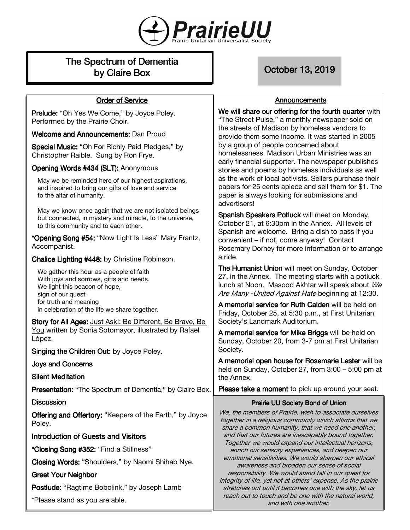

# The Spectrum of Dementia by Claire Box **Default Access Contract Contract Contract** October 13, 2019

**Order of Service** 

# **Announcements**

| Prelude: "Oh Yes We Come," by Joyce Poley.                                                                                                                         | We will share our offering for the fourth quarter with<br>"The Street Pulse," a monthly newspaper sold on                                                                                                                                                                                                                                                                                                                                                                                                                                                                                                                                                                                                                                            |
|--------------------------------------------------------------------------------------------------------------------------------------------------------------------|------------------------------------------------------------------------------------------------------------------------------------------------------------------------------------------------------------------------------------------------------------------------------------------------------------------------------------------------------------------------------------------------------------------------------------------------------------------------------------------------------------------------------------------------------------------------------------------------------------------------------------------------------------------------------------------------------------------------------------------------------|
| Performed by the Prairie Choir.                                                                                                                                    | the streets of Madison by homeless vendors to<br>provide them some income. It was started in 2005<br>by a group of people concerned about<br>homelessness. Madison Urban Ministries was an<br>early financial supporter. The newspaper publishes<br>stories and poems by homeless individuals as well<br>as the work of local activists. Sellers purchase their<br>papers for 25 cents apiece and sell them for \$1. The<br>paper is always looking for submissions and<br>advertisers!<br>Spanish Speakers Potluck will meet on Monday,<br>October 21, at 6:30pm in the Annex. All levels of<br>Spanish are welcome. Bring a dish to pass if you<br>convenient - if not, come anyway! Contact<br>Rosemary Dorney for more information or to arrange |
| <b>Welcome and Announcements: Dan Proud</b>                                                                                                                        |                                                                                                                                                                                                                                                                                                                                                                                                                                                                                                                                                                                                                                                                                                                                                      |
| Special Music: "Oh For Richly Paid Pledges," by<br>Christopher Raible. Sung by Ron Frye.                                                                           |                                                                                                                                                                                                                                                                                                                                                                                                                                                                                                                                                                                                                                                                                                                                                      |
| Opening Words #434 (SLT): Anonymous                                                                                                                                |                                                                                                                                                                                                                                                                                                                                                                                                                                                                                                                                                                                                                                                                                                                                                      |
| May we be reminded here of our highest aspirations,<br>and inspired to bring our gifts of love and service<br>to the altar of humanity.                            |                                                                                                                                                                                                                                                                                                                                                                                                                                                                                                                                                                                                                                                                                                                                                      |
| May we know once again that we are not isolated beings<br>but connected, in mystery and miracle, to the universe,<br>to this community and to each other.          |                                                                                                                                                                                                                                                                                                                                                                                                                                                                                                                                                                                                                                                                                                                                                      |
| *Opening Song #54: "Now Light Is Less" Mary Frantz,<br>Accompanist.                                                                                                |                                                                                                                                                                                                                                                                                                                                                                                                                                                                                                                                                                                                                                                                                                                                                      |
| Chalice Lighting #448: by Christine Robinson.                                                                                                                      | a ride.                                                                                                                                                                                                                                                                                                                                                                                                                                                                                                                                                                                                                                                                                                                                              |
| We gather this hour as a people of faith<br>With joys and sorrows, gifts and needs.<br>We light this beacon of hope,<br>sign of our quest<br>for truth and meaning | The Humanist Union will meet on Sunday, October<br>27, in the Annex. The meeting starts with a potluck<br>lunch at Noon. Masood Akhtar will speak about We<br>Are Many - United Against Hate beginning at 12:30.                                                                                                                                                                                                                                                                                                                                                                                                                                                                                                                                     |
| in celebration of the life we share together.                                                                                                                      | A memorial service for Ruth Calden will be held on<br>Friday, October 25, at 5:30 p.m., at First Unitarian<br>Society's Landmark Auditorium.<br>A memorial service for Mike Briggs will be held on<br>Sunday, October 20, from 3-7 pm at First Unitarian                                                                                                                                                                                                                                                                                                                                                                                                                                                                                             |
| Story for All Ages: Just Ask!: Be Different, Be Brave, Be<br>You written by Sonia Sotomayor, illustrated by Rafael<br>López.                                       |                                                                                                                                                                                                                                                                                                                                                                                                                                                                                                                                                                                                                                                                                                                                                      |
| Singing the Children Out: by Joyce Poley.                                                                                                                          | Society.                                                                                                                                                                                                                                                                                                                                                                                                                                                                                                                                                                                                                                                                                                                                             |
| <b>Joys and Concerns</b>                                                                                                                                           | A memorial open house for Rosemarie Lester will be<br>held on Sunday, October 27, from $3:00 - 5:00$ pm at                                                                                                                                                                                                                                                                                                                                                                                                                                                                                                                                                                                                                                           |
| <b>Silent Meditation</b>                                                                                                                                           | the Annex.                                                                                                                                                                                                                                                                                                                                                                                                                                                                                                                                                                                                                                                                                                                                           |
| Presentation: "The Spectrum of Dementia," by Claire Box.                                                                                                           | Please take a moment to pick up around your seat.                                                                                                                                                                                                                                                                                                                                                                                                                                                                                                                                                                                                                                                                                                    |
| <b>Discussion</b>                                                                                                                                                  | Prairie UU Society Bond of Union                                                                                                                                                                                                                                                                                                                                                                                                                                                                                                                                                                                                                                                                                                                     |
| Offering and Offertory: "Keepers of the Earth," by Joyce<br>Poley.                                                                                                 | We, the members of Prairie, wish to associate ourselves<br>together in a religious community which affirms that we<br>share a common humanity, that we need one another,                                                                                                                                                                                                                                                                                                                                                                                                                                                                                                                                                                             |
| <b>Introduction of Guests and Visitors</b>                                                                                                                         | and that our futures are inescapably bound together.                                                                                                                                                                                                                                                                                                                                                                                                                                                                                                                                                                                                                                                                                                 |
| *Closing Song #352: "Find a Stillness"                                                                                                                             | Together we would expand our intellectual horizons,<br>enrich our sensory experiences, and deepen our<br>emotional sensitivities. We would sharpen our ethical                                                                                                                                                                                                                                                                                                                                                                                                                                                                                                                                                                                       |
|                                                                                                                                                                    |                                                                                                                                                                                                                                                                                                                                                                                                                                                                                                                                                                                                                                                                                                                                                      |
| Closing Words: "Shoulders," by Naomi Shihab Nye.                                                                                                                   | awareness and broaden our sense of social                                                                                                                                                                                                                                                                                                                                                                                                                                                                                                                                                                                                                                                                                                            |
| <b>Greet Your Neighbor</b>                                                                                                                                         | responsibility. We would stand tall in our quest for                                                                                                                                                                                                                                                                                                                                                                                                                                                                                                                                                                                                                                                                                                 |
| Postlude: "Ragtime Bobolink," by Joseph Lamb                                                                                                                       | integrity of life, yet not at others' expense. As the prairie<br>stretches out until it becomes one with the sky, let us<br>reach out to touch and be one with the natural world,                                                                                                                                                                                                                                                                                                                                                                                                                                                                                                                                                                    |